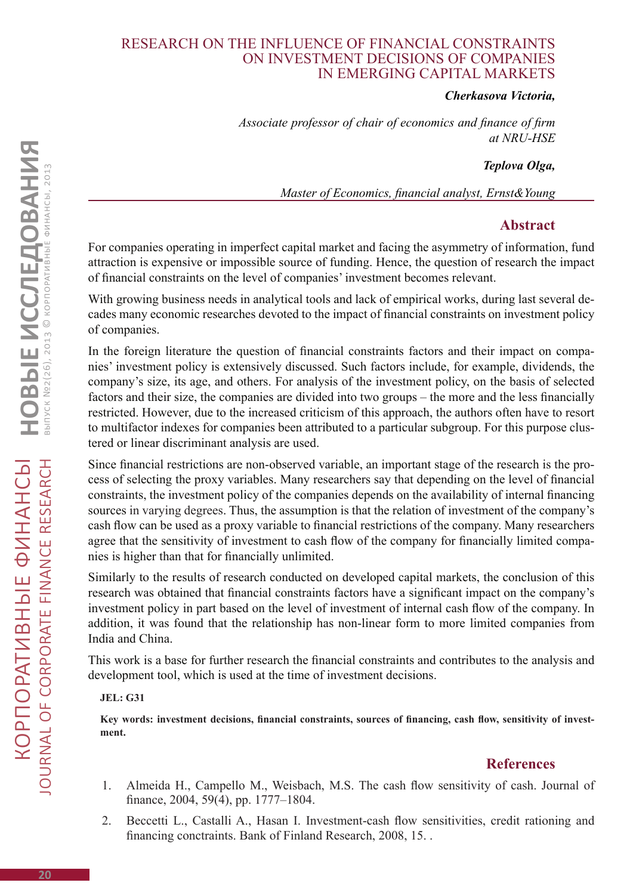### Research on the influence of financial constraints on investment decisions of companies in emerging capital markets

#### *Cherkasova Victoria,*

*Associate professor of chair of economics and finance of firm at NRU-HSΕ*

#### *Teplova Olga,*

*Master of Economics, financial analyst, Ernst&Young*

# **Abstract**

For companies operating in imperfect capital market and facing the asymmetry of information, fund attraction is expensive or impossible source of funding. Hence, the question of research the impact of financial constraints on the level of companies' investment becomes relevant.

With growing business needs in analytical tools and lack of empirical works, during last several decades many economic researches devoted to the impact of financial constraints on investment policy of companies.

In the foreign literature the question of financial constraints factors and their impact on companies' investment policy is extensively discussed. Such factors include, for example, dividends, the company's size, its age, and others. For analysis of the investment policy, on the basis of selected factors and their size, the companies are divided into two groups – the more and the less financially restricted. However, due to the increased criticism of this approach, the authors often have to resort to multifactor indexes for companies been attributed to a particular subgroup. For this purpose clustered or linear discriminant analysis are used.

Since financial restrictions are non-observed variable, an important stage of the research is the process of selecting the proxy variables. Many researchers say that depending on the level of financial constraints, the investment policy of the companies depends on the availability of internal financing sources in varying degrees. Thus, the assumption is that the relation of investment of the company's cash flow can be used as a proxy variable to financial restrictions of the company. Many researchers agree that the sensitivity of investment to cash flow of the company for financially limited companies is higher than that for financially unlimited.

Similarly to the results of research conducted on developed capital markets, the conclusion of this research was obtained that financial constraints factors have a significant impact on the company's investment policy in part based on the level of investment of internal cash flow of the company. In addition, it was found that the relationship has non-linear form to more limited companies from India and China.

This work is a base for further research the financial constraints and contributes to the analysis and development tool, which is used at the time of investment decisions.

#### **JEL: G31**

**Key words: investment decisions, financial constraints, sources of financing, cash flow, sensitivity of investment.**

# **References**

- 1. Almeida H., Campello M., Weisbach, M.S. The cash flow sensitivity of cash. Journal of finance, 2004, 59(4), pp. 1777–1804.
- 2. Beccetti L., Castalli A., Hasan I. Investment-cash flow sensitivities, credit rationing and financing conctraints. Bank of Finland Research, 2008, 15. .